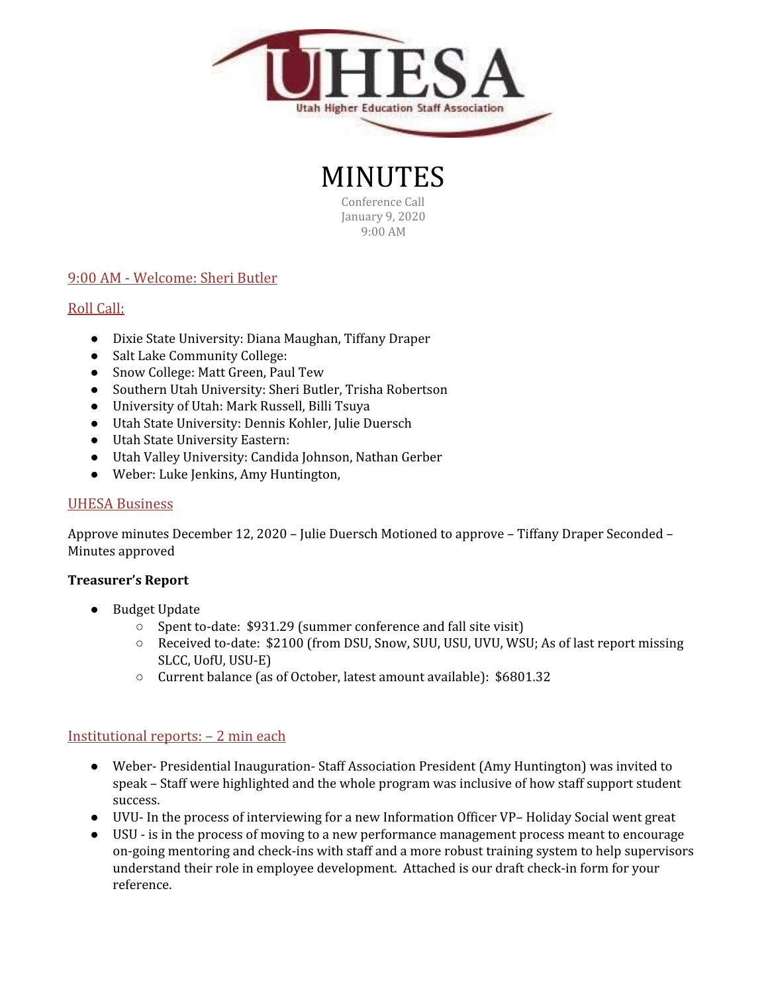

MINUTES Conference Call January 9, 2020

9:00 AM

# 9:00 AM - Welcome: Sheri Butler

# Roll Call:

- Dixie State University: Diana Maughan, Tiffany Draper
- Salt Lake Community College:
- Snow College: Matt Green, Paul Tew
- Southern Utah University: Sheri Butler, Trisha Robertson
- University of Utah: Mark Russell, Billi Tsuya
- Utah State University: Dennis Kohler, Julie Duersch
- Utah State University Eastern:
- Utah Valley University: Candida Johnson, Nathan Gerber
- Weber: Luke Jenkins, Amy Huntington,

## UHESA Business

Approve minutes December 12, 2020 – Julie Duersch Motioned to approve – Tiffany Draper Seconded – Minutes approved

## **Treasurer's Report**

- Budget Update
	- Spent to-date: \$931.29 (summer conference and fall site visit)
	- Received to-date: \$2100 (from DSU, Snow, SUU, USU, UVU, WSU; As of last report missing SLCC, UofU, USU-E)
	- Current balance (as of October, latest amount available): \$6801.32

## Institutional reports: – 2 min each

- Weber- Presidential Inauguration- Staff Association President (Amy Huntington) was invited to speak – Staff were highlighted and the whole program was inclusive of how staff support student success.
- UVU- In the process of interviewing for a new Information Officer VP– Holiday Social went great
- USU is in the process of moving to a new performance management process meant to encourage on-going mentoring and check-ins with staff and a more robust training system to help supervisors understand their role in employee development. Attached is our draft check-in form for your reference.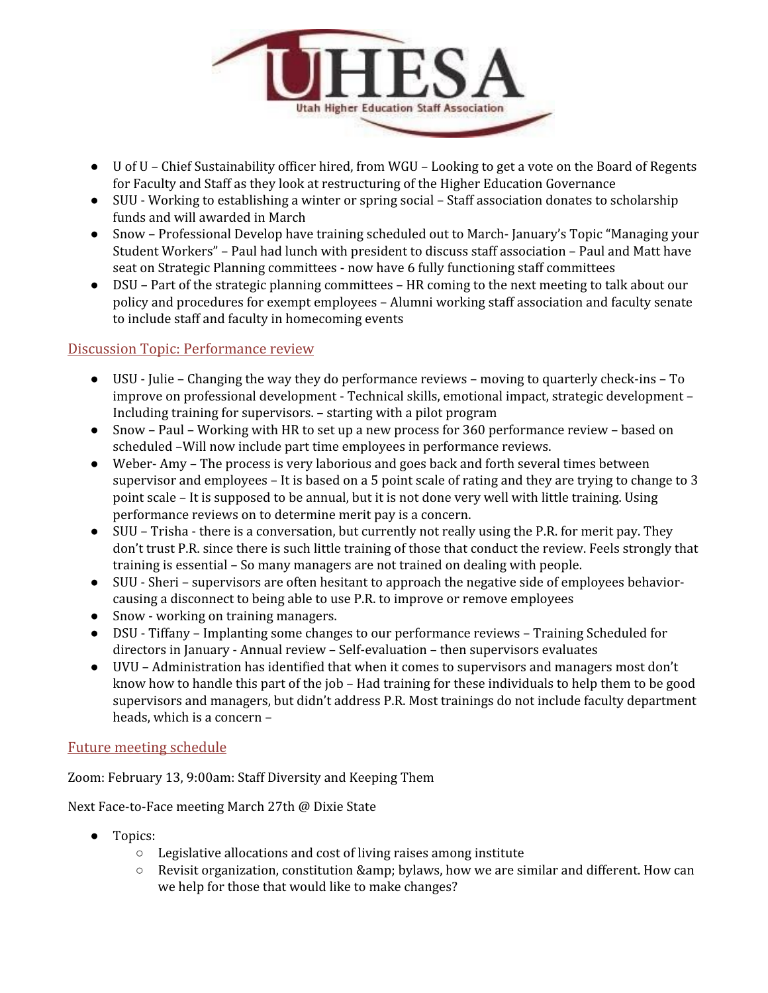

- U of U Chief Sustainability officer hired, from WGU Looking to get a vote on the Board of Regents for Faculty and Staff as they look at restructuring of the Higher Education Governance
- SUU Working to establishing a winter or spring social Staff association donates to scholarship funds and will awarded in March
- Snow Professional Develop have training scheduled out to March- January's Topic "Managing your Student Workers" – Paul had lunch with president to discuss staff association – Paul and Matt have seat on Strategic Planning committees - now have 6 fully functioning staff committees
- DSU Part of the strategic planning committees HR coming to the next meeting to talk about our policy and procedures for exempt employees – Alumni working staff association and faculty senate to include staff and faculty in homecoming events

## Discussion Topic: Performance review

- USU Julie Changing the way they do performance reviews moving to quarterly check-ins To improve on professional development - Technical skills, emotional impact, strategic development – Including training for supervisors. – starting with a pilot program
- Snow Paul Working with HR to set up a new process for 360 performance review based on scheduled –Will now include part time employees in performance reviews.
- Weber- Amy The process is very laborious and goes back and forth several times between supervisor and employees – It is based on a 5 point scale of rating and they are trying to change to 3 point scale – It is supposed to be annual, but it is not done very well with little training. Using performance reviews on to determine merit pay is a concern.
- SUU Trisha there is a conversation, but currently not really using the P.R. for merit pay. They don't trust P.R. since there is such little training of those that conduct the review. Feels strongly that training is essential – So many managers are not trained on dealing with people.
- SUU Sheri supervisors are often hesitant to approach the negative side of employees behaviorcausing a disconnect to being able to use P.R. to improve or remove employees
- Snow working on training managers.
- DSU Tiffany Implanting some changes to our performance reviews Training Scheduled for directors in January - Annual review – Self-evaluation – then supervisors evaluates
- UVU Administration has identified that when it comes to supervisors and managers most don't know how to handle this part of the job – Had training for these individuals to help them to be good supervisors and managers, but didn't address P.R. Most trainings do not include faculty department heads, which is a concern –

## Future meeting schedule

Zoom: February 13, 9:00am: Staff Diversity and Keeping Them

Next Face-to-Face meeting March 27th @ Dixie State

- Topics:
	- Legislative allocations and cost of living raises among institute
	- $\circ$  Revisit organization, constitution & amp; bylaws, how we are similar and different. How can we help for those that would like to make changes?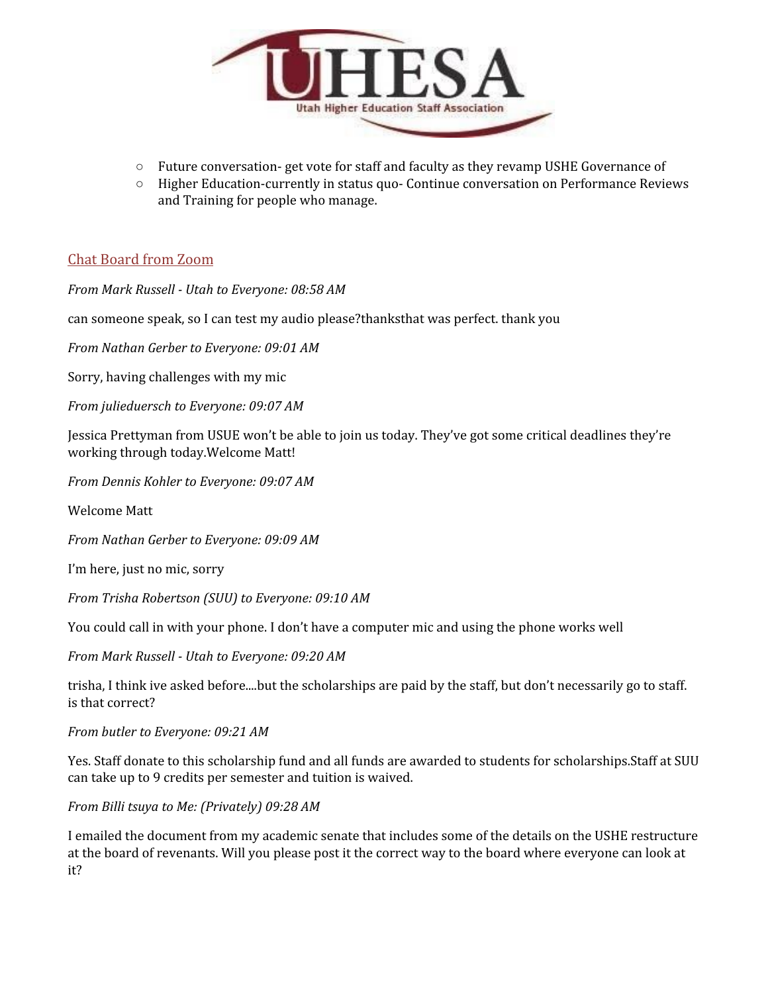

- Future conversation- get vote for staff and faculty as they revamp USHE Governance of
- Higher Education-currently in status quo- Continue conversation on Performance Reviews and Training for people who manage.

## Chat Board from Zoom

*From Mark Russell - Utah to Everyone: 08:58 AM*

can someone speak, so I can test my audio please?thanksthat was perfect. thank you

*From Nathan Gerber to Everyone: 09:01 AM*

Sorry, having challenges with my mic

*From julieduersch to Everyone: 09:07 AM*

Jessica Prettyman from USUE won't be able to join us today. They've got some critical deadlines they're working through today.Welcome Matt!

*From Dennis Kohler to Everyone: 09:07 AM*

Welcome Matt

*From Nathan Gerber to Everyone: 09:09 AM*

I'm here, just no mic, sorry

*From Trisha Robertson (SUU) to Everyone: 09:10 AM*

You could call in with your phone. I don't have a computer mic and using the phone works well

*From Mark Russell - Utah to Everyone: 09:20 AM*

trisha, I think ive asked before....but the scholarships are paid by the staff, but don't necessarily go to staff. is that correct?

*From butler to Everyone: 09:21 AM*

Yes. Staff donate to this scholarship fund and all funds are awarded to students for scholarships.Staff at SUU can take up to 9 credits per semester and tuition is waived.

*From Billi tsuya to Me: (Privately) 09:28 AM*

I emailed the document from my academic senate that includes some of the details on the USHE restructure at the board of revenants. Will you please post it the correct way to the board where everyone can look at it?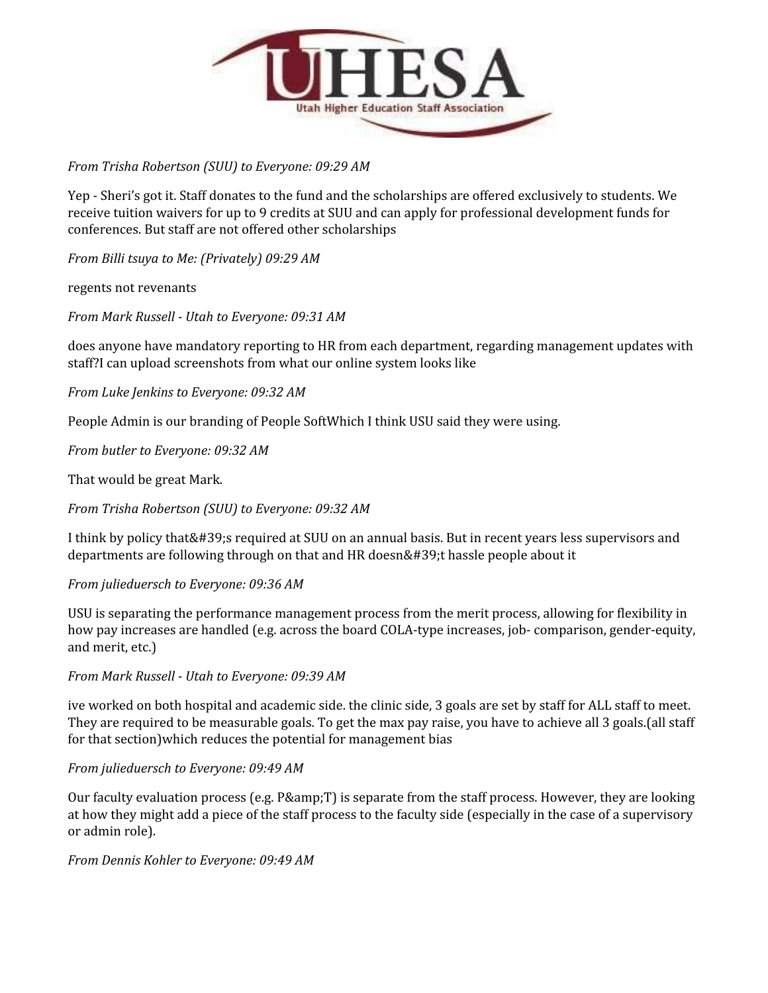

## *From Trisha Robertson (SUU) to Everyone: 09:29 AM*

Yep - Sheri's got it. Staff donates to the fund and the scholarships are offered exclusively to students. We receive tuition waivers for up to 9 credits at SUU and can apply for professional development funds for conferences. But staff are not offered other scholarships

*From Billi tsuya to Me: (Privately) 09:29 AM*

## regents not revenants

*From Mark Russell - Utah to Everyone: 09:31 AM*

does anyone have mandatory reporting to HR from each department, regarding management updates with staff?I can upload screenshots from what our online system looks like

*From Luke Jenkins to Everyone: 09:32 AM*

People Admin is our branding of People SoftWhich I think USU said they were using.

*From butler to Everyone: 09:32 AM*

That would be great Mark.

*From Trisha Robertson (SUU) to Everyone: 09:32 AM*

I think by policy that's required at SUU on an annual basis. But in recent years less supervisors and departments are following through on that and HR doesn't hassle people about it

#### *From julieduersch to Everyone: 09:36 AM*

USU is separating the performance management process from the merit process, allowing for flexibility in how pay increases are handled (e.g. across the board COLA-type increases, job- comparison, gender-equity, and merit, etc.)

*From Mark Russell - Utah to Everyone: 09:39 AM*

ive worked on both hospital and academic side. the clinic side, 3 goals are set by staff for ALL staff to meet. They are required to be measurable goals. To get the max pay raise, you have to achieve all 3 goals.(all staff for that section)which reduces the potential for management bias

## *From julieduersch to Everyone: 09:49 AM*

Our faculty evaluation process (e.g. P& T) is separate from the staff process. However, they are looking at how they might add a piece of the staff process to the faculty side (especially in the case of a supervisory or admin role).

*From Dennis Kohler to Everyone: 09:49 AM*